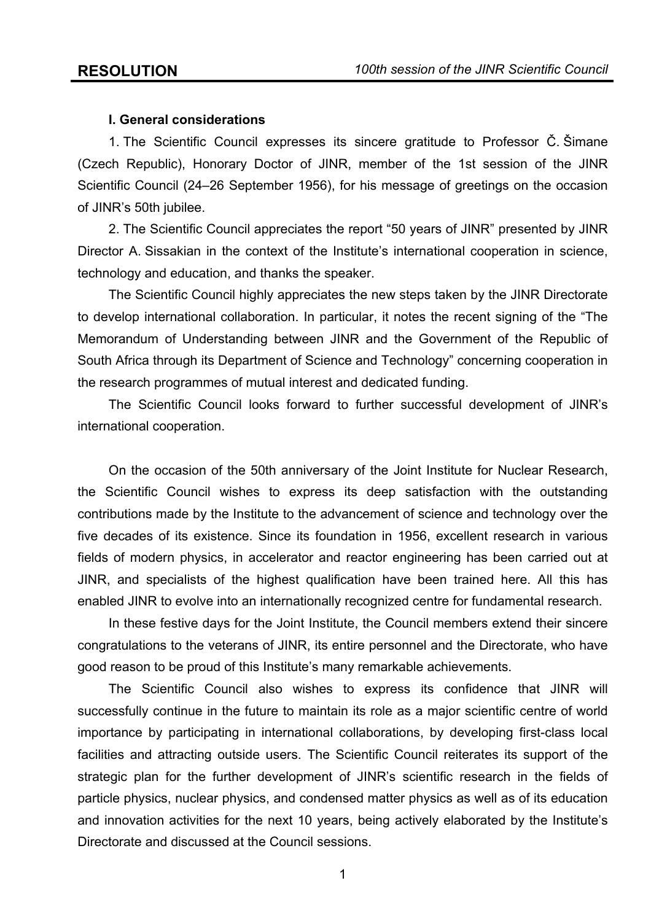### **I. General considerations**

1. The Scientific Council expresses its sincere gratitude to Professor Č. Šimane (Czech Republic), Honorary Doctor of JINR, member of the 1st session of the JINR Scientific Council (24–26 September 1956), for his message of greetings on the occasion of JINR's 50th jubilee.

2. The Scientific Council appreciates the report "50 years of JINR" presented by JINR Director A. Sissakian in the context of the Institute's international cooperation in science, technology and education, and thanks the speaker.

The Scientific Council highly appreciates the new steps taken by the JINR Directorate to develop international collaboration. In particular, it notes the recent signing of the "The Memorandum of Understanding between JINR and the Government of the Republic of South Africa through its Department of Science and Technology" concerning cooperation in the research programmes of mutual interest and dedicated funding.

The Scientific Council looks forward to further successful development of JINR's international cooperation.

On the occasion of the 50th anniversary of the Joint Institute for Nuclear Research, the Scientific Council wishes to express its deep satisfaction with the outstanding contributions made by the Institute to the advancement of science and technology over the five decades of its existence. Since its foundation in 1956, excellent research in various fields of modern physics, in accelerator and reactor engineering has been carried out at JINR, and specialists of the highest qualification have been trained here. All this has enabled JINR to evolve into an internationally recognized centre for fundamental research.

In these festive days for the Joint Institute, the Council members extend their sincere congratulations to the veterans of JINR, its entire personnel and the Directorate, who have good reason to be proud of this Institute's many remarkable achievements.

The Scientific Council also wishes to express its confidence that JINR will successfully continue in the future to maintain its role as a major scientific centre of world importance by participating in international collaborations, by developing first-class local facilities and attracting outside users. The Scientific Council reiterates its support of the strategic plan for the further development of JINR's scientific research in the fields of particle physics, nuclear physics, and condensed matter physics as well as of its education and innovation activities for the next 10 years, being actively elaborated by the Institute's Directorate and discussed at the Council sessions.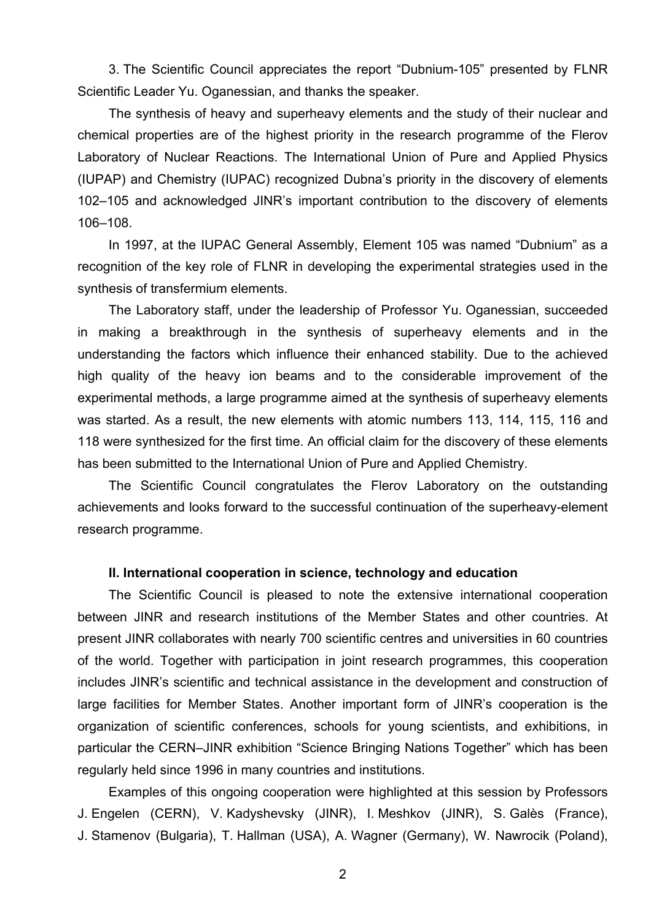3. The Scientific Council appreciates the report "Dubnium-105" presented by FLNR Scientific Leader Yu. Oganessian, and thanks the speaker.

The synthesis of heavy and superheavy elements and the study of their nuclear and chemical properties are of the highest priority in the research programme of the Flerov Laboratory of Nuclear Reactions. The International Union of Pure and Applied Physics (IUPAP) and Chemistry (IUPAC) recognized Dubna's priority in the discovery of elements 102–105 and acknowledged JINR's important contribution to the discovery of elements 106–108.

In 1997, at the IUPAC General Assembly, Element 105 was named "Dubnium" as a recognition of the key role of FLNR in developing the experimental strategies used in the synthesis of transfermium elements.

The Laboratory staff, under the leadership of Professor Yu. Oganessian, succeeded in making a breakthrough in the synthesis of superheavy elements and in the understanding the factors which influence their enhanced stability. Due to the achieved high quality of the heavy ion beams and to the considerable improvement of the experimental methods, a large programme aimed at the synthesis of superheavy elements was started. As a result, the new elements with atomic numbers 113, 114, 115, 116 and 118 were synthesized for the first time. An official claim for the discovery of these elements has been submitted to the International Union of Pure and Applied Chemistry.

The Scientific Council congratulates the Flerov Laboratory on the outstanding achievements and looks forward to the successful continuation of the superheavy-element research programme.

#### **II. International cooperation in science, technology and education**

The Scientific Council is pleased to note the extensive international cooperation between JINR and research institutions of the Member States and other countries. At present JINR collaborates with nearly 700 scientific centres and universities in 60 countries of the world. Together with participation in joint research programmes, this cooperation includes JINR's scientific and technical assistance in the development and construction of large facilities for Member States. Another important form of JINR's cooperation is the organization of scientific conferences, schools for young scientists, and exhibitions, in particular the CERN–JINR exhibition "Science Bringing Nations Together" which has been regularly held since 1996 in many countries and institutions.

Examples of this ongoing cooperation were highlighted at this session by Professors J. Engelen (CERN), V. Kadyshevsky (JINR), I. Meshkov (JINR), S. Galès (France), J. Stamenov (Bulgaria), T. Hallman (USA), A. Wagner (Germany), W. Nawrocik (Poland),